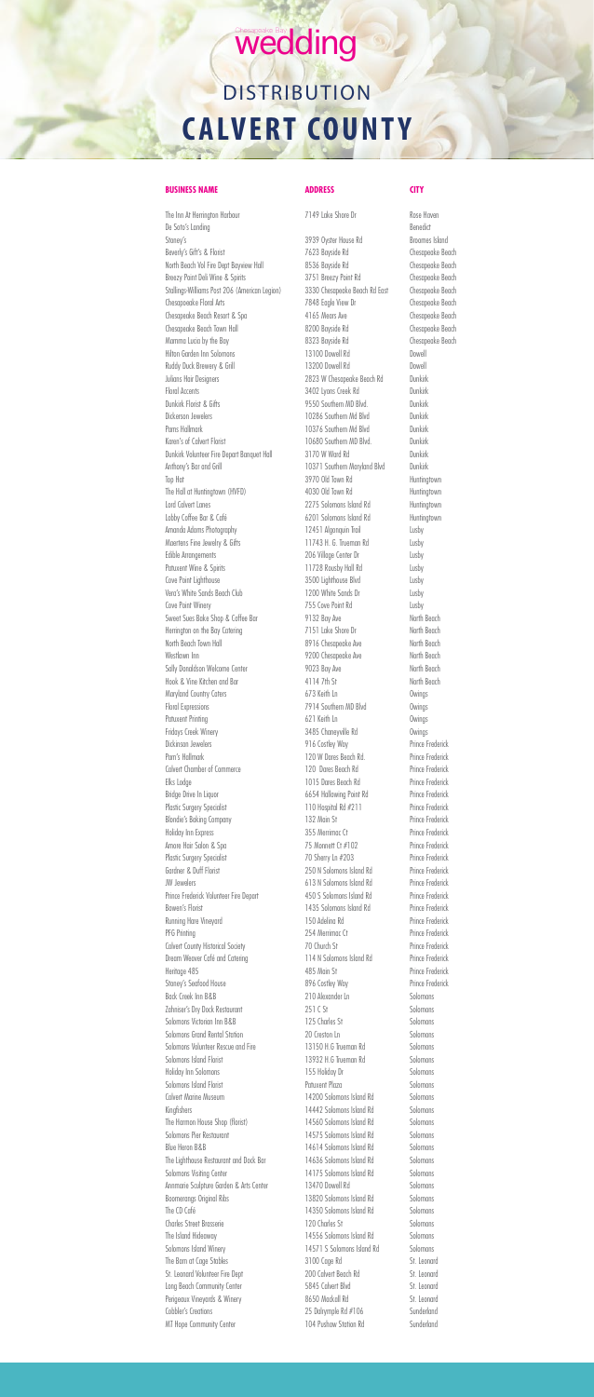### wedding

## **DISTRIBUTION CALVERT COUNTY**

### **BUSINESS NAME ADDRESS CITY**

The Inn At Herrington Harbour 7149 Lake Shore Dr Rose Haven De Soto's Landing Benedict Stoney's Stoney's Stoney's Stoney's Stoney's Stoney's Stoney's Stone Broomes Island Beverly's Gift's & Florist Chesapeake Beach 7623 Bayside Rd Chesapeake Beach North Beach Vol Fire Dept Bayview Hall 8536 Bayside Rd Chesapeake Beach Breezy Point Deli Wine & Spirits 3751 Breezy Point Rd Chesapeake Beach Stallings-Williams Post 206 (American Legion) 3330 Chesapeake Beach Rd East Chesapeake Beach Chesapoeake Floral Arts 7848 Eagle View Dr Chesapeake Beach Chesapeake Beach Resort & Spa 6 4165 Mears Ave 6 4165 Mears Ave Chesapeake Beach Town Hall 8200 Bayside Rd Chesapeake Beach Mamma Lucia by the Bay example and the S323 Bayside Rd Chesapeake Beach Hilton Garden Inn Solomons 13100 Dowell Rd Dowell Ruddy Duck Brewery & Grill **13200 Dowell Rd** Dowell Rd Julians Hair Designers 2823 W Chesapeake Beach Rd Dunkirk Floral Accents **3402 Lyons Creek Rd** Dunkirk Dunkirk Florist & Gifts 6 Dunkirk 19550 Southern MD Blvd. Dickerson Jewelers **10286** Southern Md Blvd Dunkirk Pams Hallmark **10376** Southern Md Blvd Dunkirk Karen's of Calvert Florist Controllering the Calvern Controllering 10680 Southern MD Blvd. Dunkirk Volunteer Fire Depart Banquet Hall 3170 W Ward Rd Dunkirk Anthony's Bar and Grill **10371 Southern Maryland Blvd** Dunkirk Top Hat 3970 Old Town Rd Huntingtown The Hall at Huntingtown (HVFD) 4030 Old Town Rd Huntingtown Lord Calvert Lanes 2275 Solomons Island Rd Huntingtown Lobby Coffee Bar & Café 6201 Solomons Island Rd Huntingtown Amanda Adams Photography 12451 Algonquin Trail Lusby Maertens Fine Jewelry & Gifts 11743 H. G. Trueman Rd Lusby Edible Arrangements 206 Village Center Dr Lusby Patuxent Wine & Spirits **11728 Rousby Hall Rd** Lusby Cove Point Lighthouse **3500 Lighthouse Blvd** Lusby Vera's White Sands Beach Club 1200 White Sands Dr Lusby Cove Point Winery 755 Cove Point Rd Lusby Sweet Sues Bake Shop & Coffee Bar 9132 Bay Ave North Beach Herrington on the Bay Catering The Cater of Table Shore Dr North Beach North Beach Town Hall **8916** Chesapeake Ave North Beach Westlawn Inn North Beach 9200 Chesapeake Ave North Beach Sally Donaldson Welcome Center 9023 Bay Ave North Beach Hook & Vine Kitchen and Bar 4114 7th St North Beach Maryland Country Caters 673 Keith Ln Country Caters 673 Keith Ln Floral Expressions 6 Control of Table 2014 Southern MD Blvd 6 Covings Patuxent Printing **Called Act Contract Contract Contract Contract Contract Contract Contract Contract Contract Contract Contract Contract Contract Contract Contract Contract Contract Contract Contract Contract Contract Con** Fridays Creek Winery **3485 Chaneyville Rd** Owings Dickinson Jewelers **Matter Contact Accord Prince Frederick** 916 Costley Way Prince Frederick Pam's Hallmark **120 W Dares Beach Rd.** Prince Frederick Calvert Chamber of Commerce 120 Dares Beach Rd Prince Frederick Elks Lodge 1015 Dares Beach Rd Prince Frederick Bridge Drive In Liquor **6654 Hallowing Point Rd** Prince Frederick Plastic Surgery Specialist **110 Hospital Rd #211** Prince Frederick Blondie's Baking Company 132 Main St Prince Frederick Holiday Inn Express 355 Merrimac Ct Prince Frederick Amore Hair Salon & Spa  $75$  Monnett Ct #102 Prince Frederick Plastic Surgery Specialist **70 Sherry Ln #203** Prince Frederick Gardner & Duff Florist 250 N Solomons Island Rd Prince Frederick JW Jewelers 613 N Solomons Island Rd Prince Frederick Prince Frederick Volunteer Fire Depart 450 S Solomons Island Rd Prince Frederick Bowen's Florist **1435 Solomons Island Rd** Prince Frederick Running Hare Vineyard 150 Adelina Rd Prince Frederick PFG Printing Prince Frederick 254 Merrimac Ct Prince Frederick Calvert County Historical Society 70 Church St Prince Frederick Dream Weaver Café and Catering 114 N Solomons Island Rd Prince Frederick Heritage 485 Main St Prince Frederick Stoney's Seafood House 896 Costley Way Prince Frederick Back Creek Inn B&B 210 Alexander Ln Solomons Zahniser's Dry Dock Restaurant 251 C St Solomons Solomons Victorian Inn B&B 125 Charles St Solomons Solomons Grand Rental Station **20** Creston Ln Solomons Solomons Volunteer Rescue and Fire 13150 H.G Trueman Rd Solomons Solomons Island Florist **13932 H.G Trueman Rd** Solomons Holiday Inn Solomons 155 Holiday Dr Solomons Solomons Island Florist **Patuxent Plaza** Patuxent Plaza Calvert Marine Museum 14200 Solomons Island Rd Solomons Kingfishers Solomons I at the Solomons I at 4442 Solomons I sland Rd Solomons The Harmon House Shop (florist) 14560 Solomons Island Rd Solomons Solomons Pier Restaurant 14575 Solomons Island Rd Solomons Blue Heron B&B 14614 Solomons Island Rd Solomons The Lighthouse Restaurant and Dock Bar 14636 Solomons Island Rd Solomons Solomons Visiting Center 14175 Solomons Island Rd Solomons Annmarie Sculpture Garden & Arts Center 13470 Dowell Rd Solomons Boomerangs Original Ribs 13820 Solomons Island Rd Solomons The CD Café Solomons Island Rd Solomons Island Rd Solomons Charles Street Brasserie 120 Charles St The Island Hideaway **14556 Solomons Island Rd** Solomons Solomons Island Winery 14571 S Solomons Island Rd Solomons The Barn at Cage Stables 3100 Cage Rd St. Leonard St. Leonard Volunteer Fire Dept 200 Calvert Beach Rd St. Leonard Long Beach Community Center 5845 Calvert Blvd St. Leonard Perigeaux Vineyards & Winery 6650 Mackall Rd St. Leonard Cobbler's Creations Cobbler's Creations 25 Dalrymple Rd #106 MT Hope Community Center **104 Pushaw Station Rd** Sunderland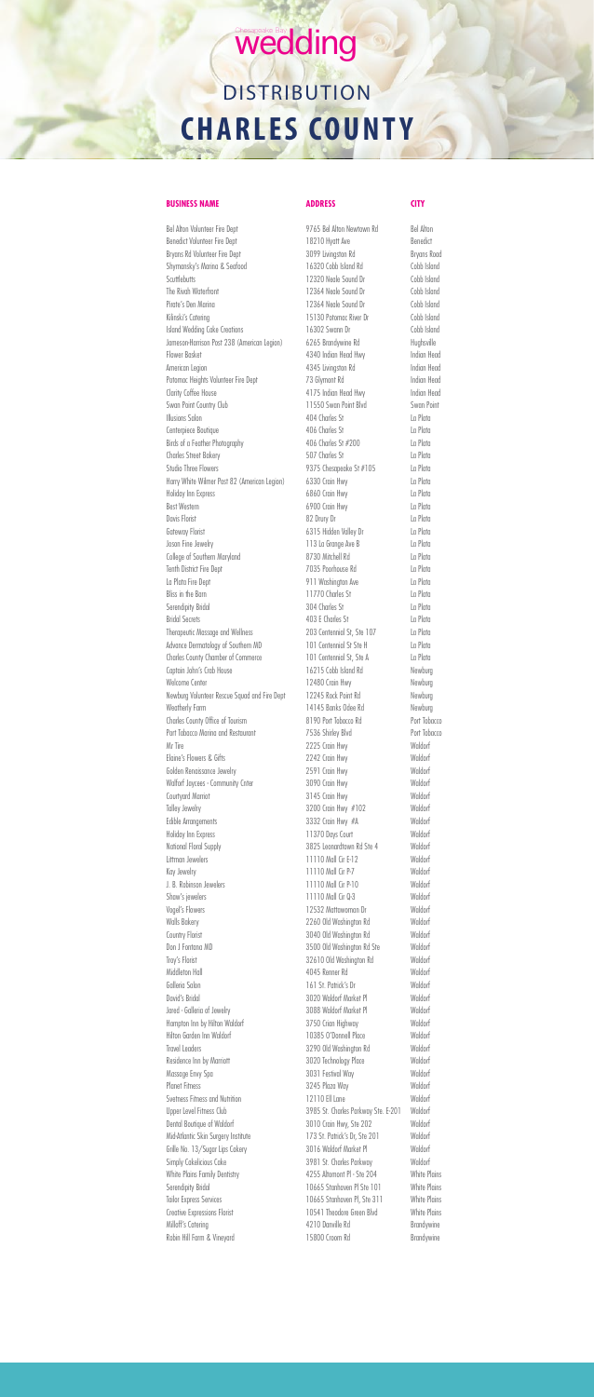Bel Alton Volunteer Fire Dept 60 million 19765 Bel Alton Newtown Rd Bel Alton Benedict Volunteer Fire Dept 18210 Hyatt Ave Benedict Bryans Rd Volunteer Fire Dept **3099** Livingston Rd Bryans Road Shymansky's Marina & Seafood 16320 Cobb Island Rd Cobb Island Scuttlebutts 12320 Neale Sound Dr Cobb Island The Rivah Waterfront **12364 Neale Sound Dr** Cobb Island Pirate's Den Marina **12364 Neale Sound Dr** Cobb Island Kilinski's Catering **15130 Potomac River Dr** Cobb Island Island Wedding Cake Creations 16302 Swann Dr Cobb Island Jameson-Harrison Post 238 (American Legion) 6265 Brandywine Rd Hughsville Flower Basket 4340 Indian Head Hwy Indian Head American Legion and Communicant Communication A345 Livingston Rd Indian Head Potomac Heights Volunteer Fire Dept 73 Glymont Rd Indian Head Clarity Coffee House **Allace House** 4175 Indian Head Hwy **Indian Head** Swan Point Country Club 11550 Swan Point Blvd Swan Point Illusions Salon 404 Charles St La Plata Centerpiece Boutique **406 Charles St** La Plata Birds of a Feather Photography 406 Charles St #200 La Plata Charles Street Bakery 607 Charles Street Bakery 507 Charles St Studio Three Flowers **Example 2018** Studio Three Flowers **La Plata** Harry White Wilmer Post 82 (American Legion) 6330 Crain Hwy La Plata Holiday Inn Express 6860 Crain Hwy La Plata Best Western La Plata Communication of the GOO Crain Hwy La Plata Davis Florist La Plata Gateway Florist Carrier Content of Galley Dr Cateway Florist La Plata Joson Fine Jewelry 113 La Grange Ave B La Plata College of Southern Maryland **8730 Mitchell Rd** La Plata Tenth District Fire Dept 7035 Poorhouse Rd La Plata La Plata Fire Dept 911 Washington Ave La Plata Bliss in the Barn Carries in the Barn Carries in the Barn Carries in the Barn Carries in the Barn Carries in the Barn Carries in the Barn Carries in the Barn Carries in the Barn Carries in the Barn Carries in the Barn Carr Serendipity Bridal **304 Charles St** La Plata Bridal Secrets 403 E Charles St La Plata Therapeutic Massage and Wellness 203 Centennial St, Ste 107 La Plata Advance Dermatology of Southern MD 101 Centennial St Ste H La Plata Charles County Chamber of Commerce 101 Centennial St, Ste A La Plata Captain John's Crab House 2008 16215 Cobb Island Rd Newburg Welcome Center **12480 Crain Hwy** Newburg Newburg Volunteer Rescue Squad and Fire Dept 12245 Rock Point Rd Newburg Weatherly Farm Newburg 14145 Banks Odee Rd Newburg Charles County Office of Tourism 8190 Port Tobacco Rd Port Tobacco Port Tabacco Marina and Restaurant 7536 Shirley Blvd Port Tobacco Mr Tire 2225 Crain Hwy Waldorf Elaine's Flowers & Gifts 2242 Crain Hwy Waldorf Golden Renaissance Jewelry **2591 Crain Hwy** Waldorf Walforf Jaycees - Community Cnter 3090 Crain Hwy Waldorf Courtyard Marriot 3145 Crain Hwy Waldorf Talley Jewelry Charles Communication of the S200 Crain Hwy #102 Edible Arrangements **3332 Crain Hwy #A** Waldorf Holiday Inn Express The Court 201370 Days Court Court Maldorf National Floral Supply 3825 Leonardtown Rd Ste 4 Waldorf Littman Jewelers 11110 Mall Cir E-12 Waldorf

| Kay Jewelry                         | 11110 Mall Cir P-7                  | Waldorf             |
|-------------------------------------|-------------------------------------|---------------------|
| J. B. Robinson Jewelers             | 11110 Mall Cir P-10                 | Waldorf             |
| Shaw's jewelers                     | 11110 Mall Cir 0-3                  | Waldorf             |
| Vogel's Flowers                     | 12532 Mattawoman Dr                 | Waldorf             |
| <b>Walls Bakery</b>                 | 2260 Old Washington Rd              | Waldorf             |
| Country Florist                     | 3040 Old Washington Rd              | Waldorf             |
| Don J Fontana MD                    | 3500 Old Washington Rd Ste          | Waldorf             |
| Troy's Florist                      | 32610 Old Washington Rd             | Waldorf             |
| Middleton Hall                      | 4045 Renner Rd                      | Waldorf             |
| Galleria Salon                      | 161 St. Patrick's Dr.               | Waldorf             |
| David's Bridal                      | 3020 Waldorf Market Pl              | Waldorf             |
| Jared - Galleria of Jewelry         | 3088 Waldorf Market Pl              | Waldorf             |
| Hampton Inn by Hilton Waldorf       | 3750 Crian Highway                  | Waldorf             |
| Hilton Garden Inn Waldorf           | 10385 O'Donnell Place               | Waldorf             |
| Travel Leaders                      | 3290 Old Washington Rd              | Waldorf             |
| Residence Inn by Marriott           | 3020 Technology Place               | Waldorf             |
| Massage Envy Spa                    | 3031 Festival Way                   | Waldorf             |
| <b>Planet Fitness</b>               | 3245 Plaza Way                      | Waldorf             |
| Svetness Fitness and Nutrition      | 12110 Ell Lane                      | Waldorf             |
| Upper Level Fitness Club            | 3985 St. Charles Parkway Ste. E-201 | Waldorf             |
| Dental Boutique of Waldorf          | 3010 Crain Hwy, Ste 202             | Waldorf             |
| Mid-Atlantic Skin Surgery Institute | 173 St. Patrick's Dr, Ste 201       | Waldorf             |
| Grille No. 13/Sugar Lips Cakery     | 3016 Waldorf Market Pl              | Waldorf             |
| Simply Cakelicious Cake             | 3981 St. Charles Parkway            | Waldorf             |
| White Plains Family Dentistry       | 4255 Altomont PI - Ste 204          | <b>White Plains</b> |
| Serendipity Bridal                  | 10665 Stanhaven Pl Ste 101          | <b>White Plains</b> |
| <b>Tailor Express Services</b>      | 10665 Stanhaven Pl, Ste 311         | <b>White Plains</b> |
| Creative Expressions Florist        | 10541 Theodore Green Blvd           | <b>White Plains</b> |
| Milloff's Catering                  | 4210 Danville Rd                    | Brandywine          |
| Robin Hill Farm & Vinevard          | 15800 Croom Rd                      | Brandywine          |

# Chesapeake Bay<br>Wedding **DISTRIBUTION**

## **CHARLES COUNTY**

### **BUSINESS NAME ADDRESS CITY**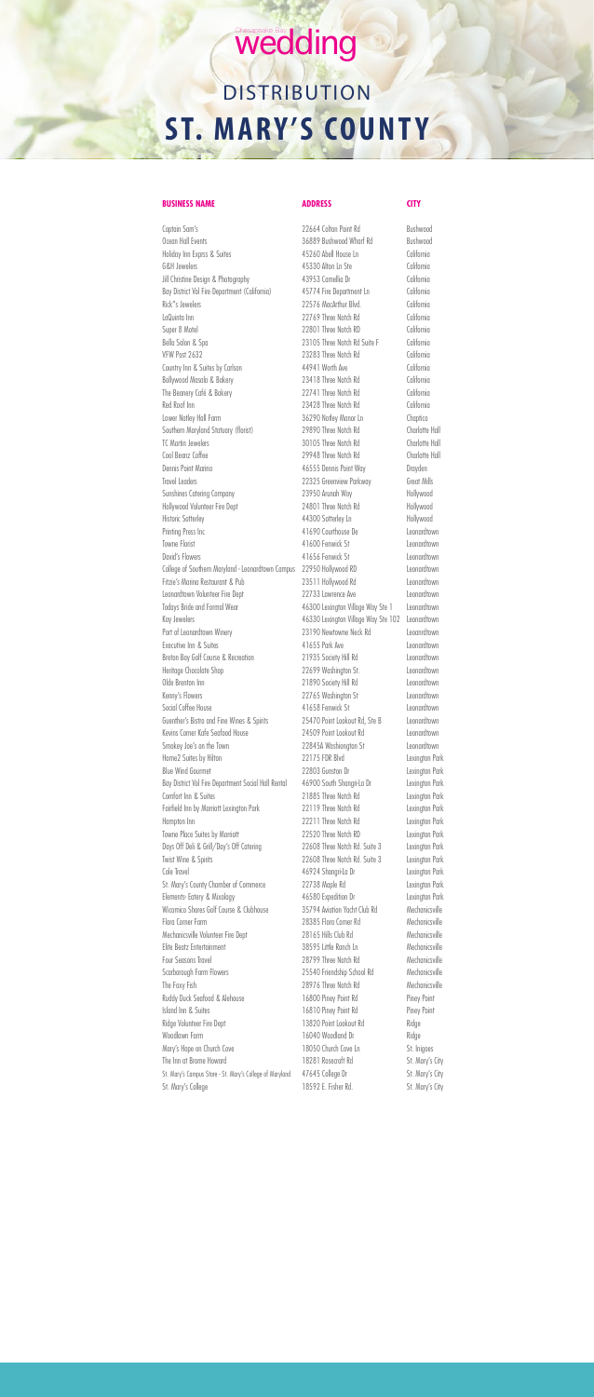### wedding

## **DISTRIBUTION ST. MARY'S COUNT Y**

### **BUSINESS NAME ADDRESS CITY**

Captain Sam's **22664 Colton Point Rd** Bushwood Ocean Hall Events **36889 Bushwood Wharf Rd** Bushwood Holiday Inn Exprss & Suites 45260 Abell House Ln California G&H Jewelers California Jill Christine Design & Photography 43953 Camellia Dr California Bay District Vol Fire Department (California) 45774 Fire Department Ln California Rick"s Jewelers California LaQuinta Inn 22769 Three Notch Rd California Super 8 Motel California Bella Salon & Spa 23105 Three Notch Rd Suite F California VFW Post 2632 23283 Three Notch Rd California Country Inn & Suites by Carlson 44941 Worth Ave California Bollywood Masala & Bakery 23418 Three Notch Rd California The Beanery Café & Bakery 22741 Three Notch Rd California Red Roof Inn California Lower Notley Hall Farm 36290 Notley Manor Ln Chaptico Southern Maryland Statuary (florist) 29890 Three Notch Rd Charlotte Hall TC Martin Jewelers **30105** Three Notch Rd Charlotte Hall Cool Beanz Coffee 29948 Three Notch Rd Charlotte Hall Dennis Point Marina 46555 Dennis Point Way Drayden Travel Leaders 22325 Greenview Parkway Great Mills Sunshines Catering Company 23950 Arunah Way Hollywood Hollywood Volunteer Fire Dept 24801 Three Notch Rd Hollywood Historic Sotterley **Material Society** 44300 Sotterley Ln **Hollywood** Printing Press Inc **Alle Auditor** 41690 Courthouse De **Leonardtown** Towne Florist Contract Contract And All ADO Fenwick St Leonardtown David's Flowers **Allows** 41656 Fenwick St Leonardtown College of Southern Maryland - Leonardtown Campus 22950 Hollywood RD Leonardtown Fitzie's Marina Restaurant & Pub 23511 Hollywood Rd Leonardtown Leonardtown Volunteer Fire Dept 22733 Lawrence Ave Leonardtown Todays Bride and Formal Wear 46300 Lexington Village Way Ste 1 Leonardtown Kay Jewelers **Acknowledge May Stee** 102 Leonardtown **Acknowledge 102** Leonardtown Port of Leonardtown Winery 23190 Newtowne Neck Rd Leoanrdtown Executive Inn & Suites 6 2001 100 2008 41655 Park Ave Leonardtown Breton Bay Golf Course & Recreation 21935 Society Hill Rd Leonardtown Heritage Chocolate Shop 22699 Washington St. Leonardtown Olde Brenton Inn 21890 Society Hill Rd Leonardtown Kenny's Flowers **Example 22765** Washington St Leonardtown Social Coffee House **41658 Fenwick St** Leonardtown Guenther's Bistro and Fine Wines & Spirits 25470 Point Lookout Rd, Ste B Leonardtown Kevins Corner Kafe Seafood House 24509 Point Lookout Rd Leonardtown Smokey Joe's on the Town 22845A Washiongton St Leonardtown Home2 Suites by Hilton 22175 FDR Blvd Lexington Park Blue Wind Gourmet 22803 Gunston Dr Lexington Park Bay District Vol Fire Department Social Hall Rental 46900 South Shangri-La Dr Lexington Park Comfort Inn & Suites **21885** Three Notch Rd Lexington Park Fairfield Inn by Marriott Lexington Park 22119 Three Notch Rd Lexington Park Hampton Inn 22211 Three Notch Rd Lexington Park Towne Place Suites by Marriott 22520 Three Notch RD Lexington Park Days Off Deli & Grill/Day's Off Catering 22608 Three Notch Rd. Suite 3 Lexington Park Twist Wine & Spirits 22608 Three Notch Rd. Suite 3 Lexington Park Cole Travel **Cole Travel** 2001 1204 Cole Travel 2012 146924 Shangri-La Dr St. Mary's County Chamber of Commerce 22738 Maple Rd Lexington Park Elements- Eatery & Mixology 46580 Expedition Dr Lexington Park Wicomico Shores Golf Course & Clubhouse 35794 Aviation Yacht Club Rd Mechanicsville Flora Corner Farm 28385 Flora Corner Rd Mechanicsville Mechanicsville Volunteer Fire Dept 28165 Hills Club Rd Mechanicsville Elite Beatz Entertainment 38595 Little Ranch Ln Mechanicsville Four Seasons Travel **Accord 28799 Three Notch Rd** Mechanicsville Scarborough Farm Flowers 25540 Friendship School Rd Mechanicsville The Foxy Fish Mechanicsville 28976 Three Notch Rd Mechanicsville Ruddy Duck Seafood & Alehouse 16800 Piney Point Rd Piney Point Island Inn & Suites 16810 Piney Point Rd Piney Point Ridge Volunteer Fire Dept 13820 Point Lookout Rd Ridge Woodlawn Farm **16040 Woodland Dr** Ridge Mary's Hope on Church Cove 2006 2006 18050 Church Cove Ln The Inn at Brome Howard **18281** Rosecroft Rd St. Mary's City St. Mary's Campus Store - St. Mary's College of Maryland 47645 College Dr St. Mary's City St. Mary's College **18592 E.** Fisher Rd. St. Mary's City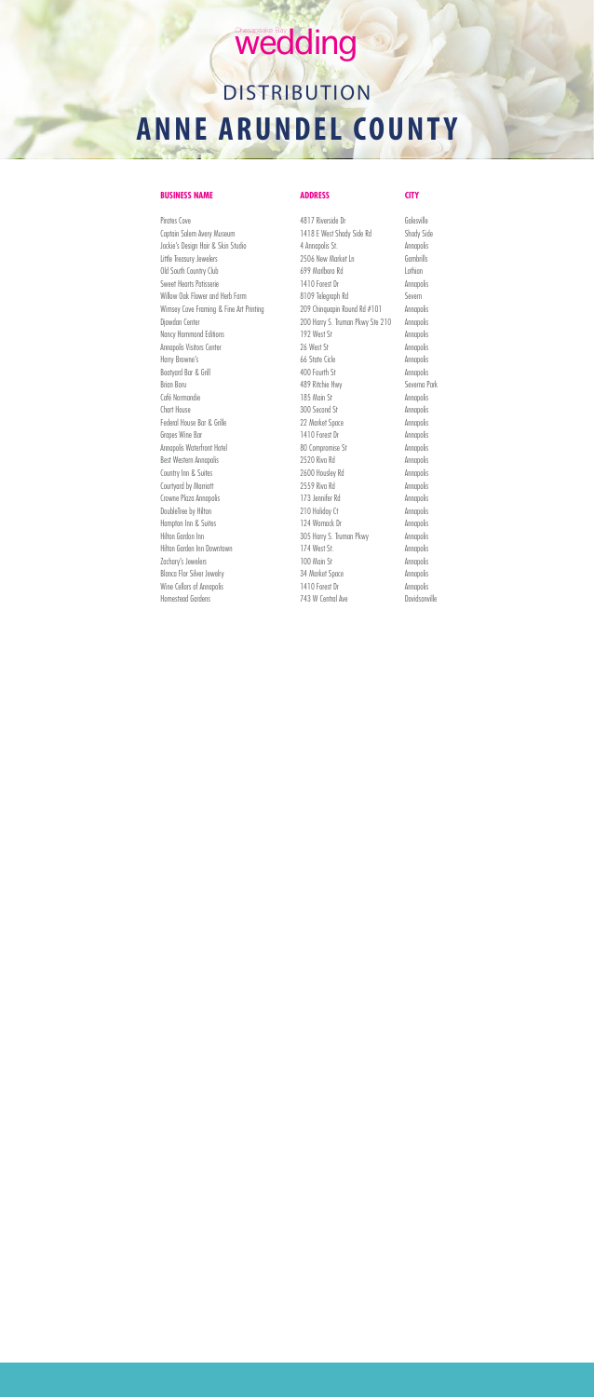## Wedding

## **DISTRIBUTION ANNE ARUNDEL COUNTY**

### **BUSINESS NAME ADDRESS CITY**

Pirates Cove 600 Contracts Cover 4817 Riverside Dr 600 Collesville Captain Salem Avery Museum 1418 E West Shady Side Rd Shady Side Jackie's Design Hair & Skin Studio 4 Annapolis St. Annapolis Little Treasury Jewelers 2506 New Market Ln Gambrills Old South Country Club 699 Marlboro Rd Lothian Sweet Hearts Patisserie **1410 Forest Dr** Annapolis Willow Oak Flower and Herb Farm 8109 Telegraph Rd Severn Wimsey Cove Framing & Fine Art Printing 209 Chinquapin Round Rd #101 Annapolis Djawdan Center 200 Harry S. Truman Pkwy Ste 210 Annapolis Nancy Hammond Editions 192 West St Annapolis Annapolis Visitors Center **26 West St Annapolis** Harry Browne's **Annapolis** 66 State Cicle **Annapolis** Boatyard Bar & Grill **Annapolis** 400 Fourth St Annapolis Brian Boru **189 Ritchie Hwy** Severna Park Café Normandie **Annapolis** 185 Main St Annapolis Chart House 200 Second St Annapolis Federal House Bar & Grille **22 Market Space** Annapolis Grapes Wine Bar 1410 Forest Dr Annapolis Annapolis Waterfront Hotel **80 Compromise St** Annapolis Best Western Annapolis **2520 Riva Rd** Annapolis Country Inn & Suites **2600 Housley Rd Annapolis** Courtyard by Marriott 2559 Riva Rd Annapolis Crowne Plaza Annapolis **173 Jennifer Rd** Annapolis DoubleTree by Hilton 210 Holiday Ct Annapolis Hampton Inn & Suites **124 Womack Dr** Annapolis Hilton Gardon Inn 305 Harry S. Truman Pkwy Annapolis Hilton Garden Inn Downtown 174 West St. Annapolis Zachary's Jewelers **100 Main St** Annapolis Blanca Flor Silver Jewelry **34 Market Space** Annapolis Wine Cellars of Annapolis **1410 Forest Dr** Annapolis

Homestead Gardens 743 W Central Ave Davidsonville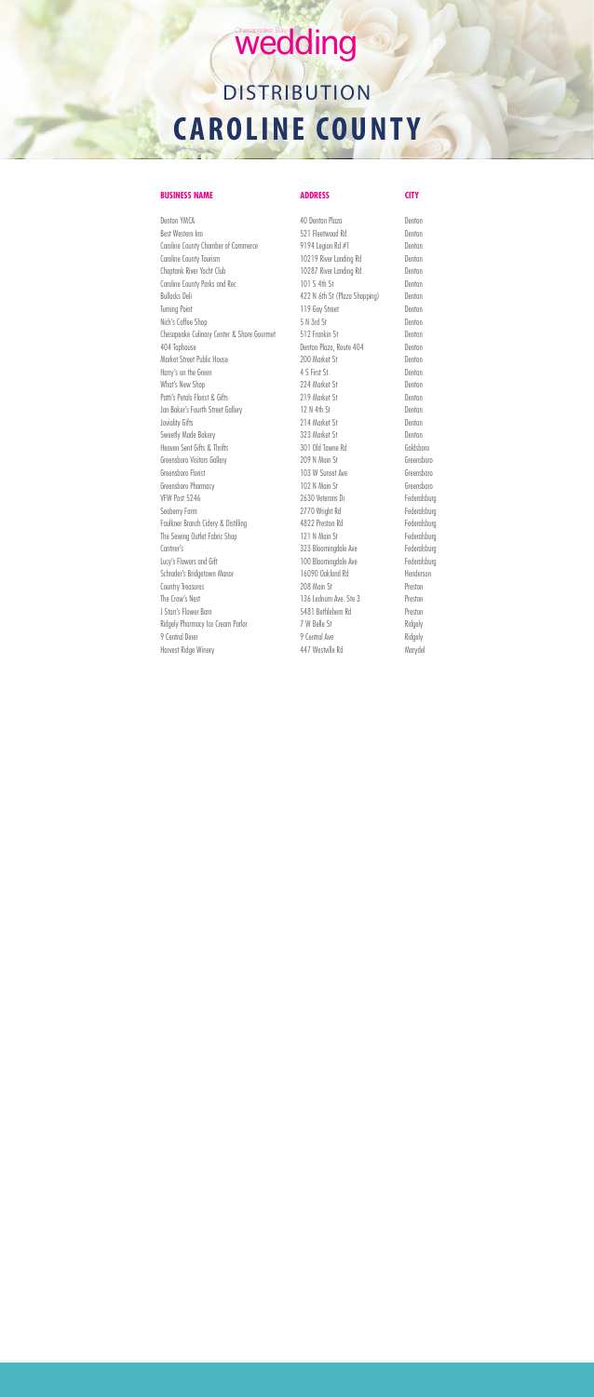## Wedding

## **DISTRIBUTION CAROLINE COUNTY**

### **BUSINESS NAME ADDRESS CITY**

Denton YMCA Denton Plaza Denton Plaza Best Western Inn 521 Fleetwood Rd Denton Caroline County Chamber of Commerce 9194 Legion Rd #1 Denton Caroline County Tourism **10219** River Landing Rd Denton Choptank River Yacht Club 10287 River Landing Rd Denton Caroline County Parks and Rec 101 S 4th St Denton Bullocks Deli **Access 2018** Access 422 N 6th St (Plaza Shopping) Denton Turning Point Denton Number 2019 Gay Street Nich's Coffee Shop 5 N 3rd St Denton Chesapeake Culinary Center & Shore Gourmet 512 Frankin St Denton 404 Taphouse Denton Plaza, Route 404 Denton Market Street Public House 200 Market St Denton Harry's on the Green 4 S First St. Denton What's New Shop 224 Market St Denton Patti's Petals Florist & Gifts 219 Market St Denton Jan Baker's Fourth Street Gallery 12 N 4th St Denton Joviality Gifts **Denton 214 Market St** Denton Sweetly Made Bakery **323 Market St** Denton Heaven Sent Gifts & Thrifts 301 Old Towne Rd Goldsboro Greensboro Visitors Gallery 209 N Main St Greensboro Greensboro Florist Creensboro Creensboro 103 W Sunset Ave Greensboro Greensboro Greensboro Pharmacy **102 N Main St** Greensboro VFW Post 5246 2630 Veterans Dr Federalsburg Seaberry Farm **2770** Wright Rd Federalsburg Faulkner Branch Cidery & Distilling and the 4822 Preston Rd Federalsburg Federalsburg The Sewing Outlet Fabric Shop 121 N Main St Federalsburg Cantner's **Cantner's** 323 Bloomingdale Ave Federalsburg Lucy's Flowers and Gift 100 Bloomingdale Ave Federalsburg Schrader's Bridgetown Manor 16090 Oakland Rd Henderson Country Treasures **208 Main St** Preston The Crow's Nest Preston Nueva Chapter 136 Lednum Ave. Ste 3 J Starr's Flower Barn 5481 Bethlehem Rd Preston Ridgely Pharmacy Ice Cream Parlor 7 W Belle St Ridgely 9 Central Diner Ridgely

Harvest Ridge Winery **ALCO 10 ACCOM AREA** 447 Westville Rd Marydel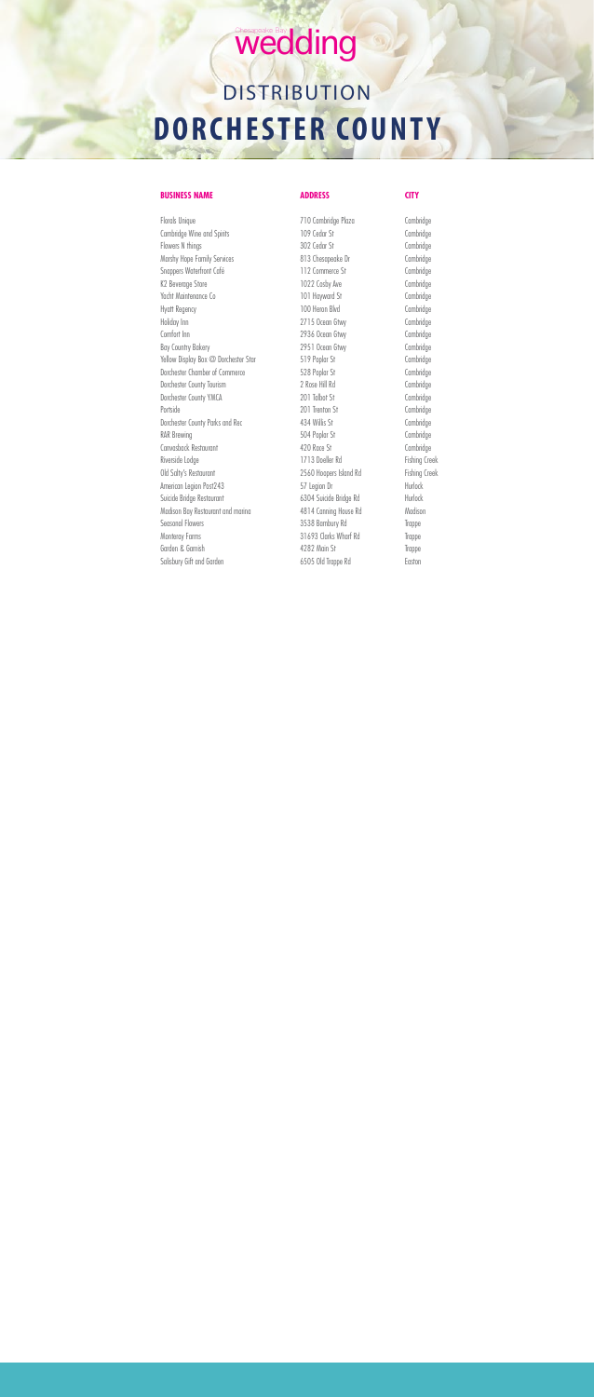## Wedding

## **DISTRIBUTION DORCHESTER COUNTY**

### **BUSINESS NAME ADDRESS CITY**

Cambridge Wine and Spirits **109 Cedar St** Cambridge Flowers N things Cambridge 302 Cedar St Cambridge Marshy Hope Family Services and Services and Superson 813 Chesapeake Dr Cambridge Snappers Waterfront Café 112 Commerce St Cambridge K2 Beverage Store Cambridge Cosby Ave Cambridge Cambridge Yacht Maintenance Co and the 101 Hayward St Cambridge Hyatt Regency 100 Heron Blvd Cambridge Holiday Inn 2715 Ocean Gtwy Cambridge Comfort Inn 2936 Ocean Gtwy Cambridge Bay Country Bakery **Cambridge** 2951 Ocean Gtwy Cambridge Yellow Display Box @ Dorchester Star 519 Poplar St Cambridge Dorchester Chamber of Commerce 528 Poplar St Cambridge Dorchester County Tourism 2 Rose Hill Rd Cambridge Dorchester County YMCA 201 Talbot St Cambridge Portside Cambridge 201 Trenton St Cambridge Dorchester County Parks and Rec 434 Willis St Cambridge RAR Brewing Cambridge Cambridge 504 Poplar St Cambridge Canvasback Restaurant 420 Race St Cambridge Riverside Lodge **1713 Doeller Rd** Fishing Creek Old Salty's Restaurant **2560 Hoopers Island Rd** Fishing Creek American Legion Post243 57 Legion Dr Hurlock Suicide Bridge Restaurant 6304 Suicide Bridge Rd Hurlock Madison Bay Restaurant and marina 4814 Canning House Rd Madison Seasonal Flowers **3538 Bambury Rd** Trappe Monteray Farms Trappe 31693 Clarks Wharf Rd Trappe Garden & Garnish Trappe Salisbury Gift and Garden 6505 Old Trappe Rd Easton

Florals Unique Cambridge Plaza Cambridge Plaza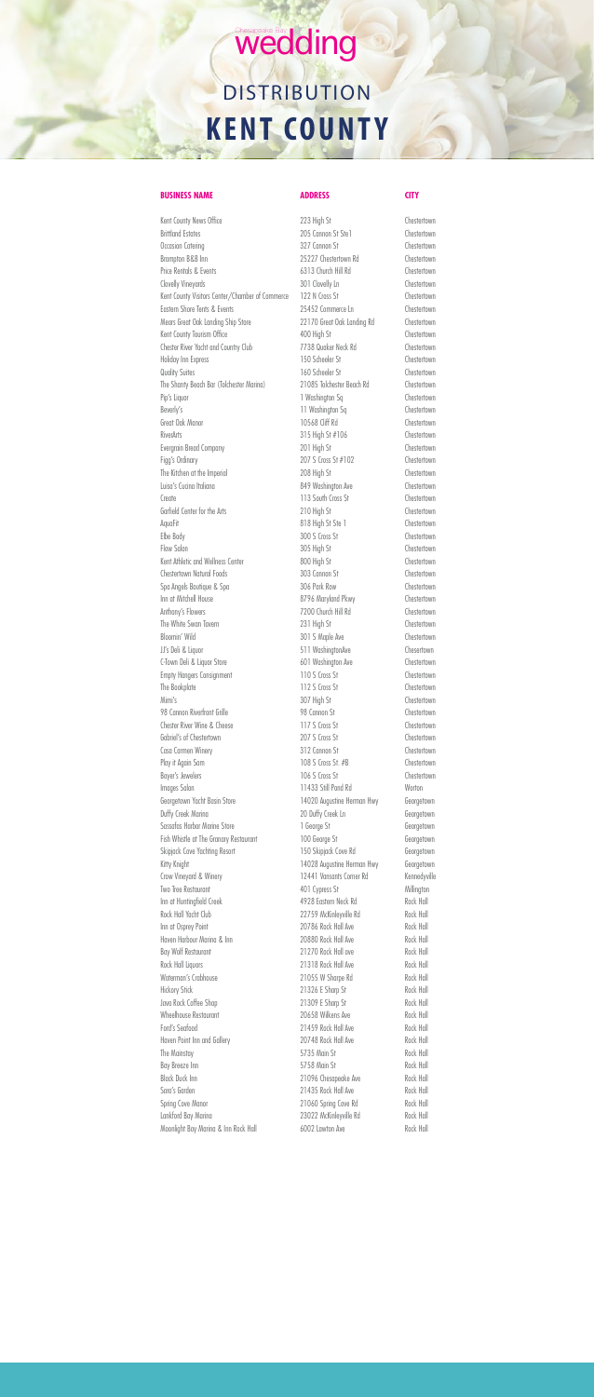## Chesapeake Bay<br>Wedding **DISTRIBUTION KENT COUNTY**

### **BUSINESS NAME ADDRESS CITY**

Kent County News Office **Chestertown** 223 High St Chestertown Brittland Estates **205 Cannon St Stel** Chestertown Occasion Catering **Cannon St** Chestertown 327 Cannon St Chestertown Brampton B&B Inn 25227 Chestertown Rd Chestertown Price Rentals & Events **Exercise 2013** Church Hill Rd Chestertown Clovelly Vineyards **301 Clovelly Ln** Chestertown Kent County Visitors Center/Chamber of Commerce 122 N Cross St Chestertown Eastern Shore Tents & Events 25452 Commerce Ln Chestertown Mears Great Oak Landing Ship Store 22170 Great Oak Landing Rd Chestertown Kent County Tourism Office **Accord ACCOUNTY ACCOUNTED ACCOUNT** Chestertown Chester River Yacht and Country Club 7738 Quaker Neck Rd Chestertown Holiday Inn Express **150 Scheeler St** Chestertown Quality Suites Chestertown 160 Scheeler St Chestertown The Shanty Beach Bar (Tolchester Marina) 21085 Tolchester Beach Rd Chestertown Pip's Liquor Chestertown 1 Washington Sq Chestertown Beverly's Chestertown 11 Washington Sq Chestertown Great Oak Manor 10568 Cliff Rd Chestertown RiverArts **Chestertown** 315 High St #106 Chestertown Evergrain Bread Company **201 High St** Chestertown Figg's Ordinary Chestertown 207 S Cross St #102 The Kitchen at the Imperial 208 High St Chestertown Luisa's Cucina Italiana 849 Washington Ave Chestertown Create Create 2002 Create 113 South Cross St Garfield Center for the Arts 210 High St Chestertown AquaFit AquaFit AquaFit Blank St Stell AquaFit Chestertown Elbe Body **300 S Cross St** Chestertown Flow Salon 61 Chestertown 305 High St Chestertown Kent Athletic and Wellness Center 800 High St Chestertown Chestertown Natural Foods 303 Cannon St Chestertown Spa Angels Boutique & Spa 306 Park Row Chestertown Inn at Mitchell House 8796 Maryland Pkwy Chestertown Anthony's Flowers **Anthony's Flowers** 2200 Church Hill Rd Chestertown The White Swan Tavern **Example 231 High St** Chestertown Bloomin' Wild **Bloomin' Wild Chestertown** 301 S Maple Ave **Chestertown** JJ's Deli & Liquor 511 WashingtonAve Chesertown C-Town Deli & Liquor Store 601 Washington Ave 601 Washington Ave Empty Hangers Consignment 110 S Cross St Chestertown The Bookplate Chestertown 112 S Cross St Chestertown Mimi's Chestertown 307 High St Chestertown 98 Cannon Riverfront Grille 98 Cannon St Chestertown Chester River Wine & Cheese 117 S Cross St Chestertown Gabriel's of Chestertown 207 S Cross St Chestertown Casa Carmen Winery **312 Cannon St** Chestertown Play it Again Sam Chestertown 108 S Cross St. #B Chestertown Boyer's Jewelers **106 S Cross St** Chestertown Images Salon **11433 Still Pond Rd** Worton Georgetown Yacht Basin Store 14020 Augustine Herman Hwy Georgetown Duffy Creek Marina 20 Duffy Creek Ln Georgetown Sassafas Harbor Marine Store 1 George St Georgetown Fish Whistle at The Granary Restaurant 100 George St Georgetown Skipjack Cove Yachting Resort 150 Skipjack Cove Rd Georgetown Kitty Knight Changes in the 14028 Augustine Herman Hwy Georgetown

| 12441 Vansants Corner Rd | Kennedyville |
|--------------------------|--------------|
| 401 Cypress St           | Millington   |
| 4928 Eastern Neck Rd     | Rock Hall    |
| 22759 McKinleyville Rd   | Rock Hall    |
| 20786 Rock Hall Ave      | Rock Hall    |
| 20880 Rock Hall Ave      | Rock Hall    |
| 21270 Rock Hall ave      | Rock Hall    |
| 21318 Rock Hall Ave      | Rock Hall    |
| 21055 W Sharpe Rd        | Rock Hall    |
| 21326 E Sharp St         | Rock Hall    |
| 21309 E Sharp St         | Rock Hall    |
| 20658 Wilkens Ave        | Rock Hall    |
| 21459 Rock Hall Ave      | Rock Hall    |
| 20748 Rock Hall Ave      | Rock Hall    |
| 5735 Main St             | Rock Hall    |
| 5758 Main St             | Rock Hall    |
| 21096 Chesapeake Ave     | Rock Hall    |
| 21435 Rock Hall Ave      | Rock Hall    |
| 21060 Spring Cove Rd     | Rock Hall    |
| 23022 McKinleyville Rd   | Rock Hall    |
| 6002 Lawton Ave          | Rock Hall    |
|                          |              |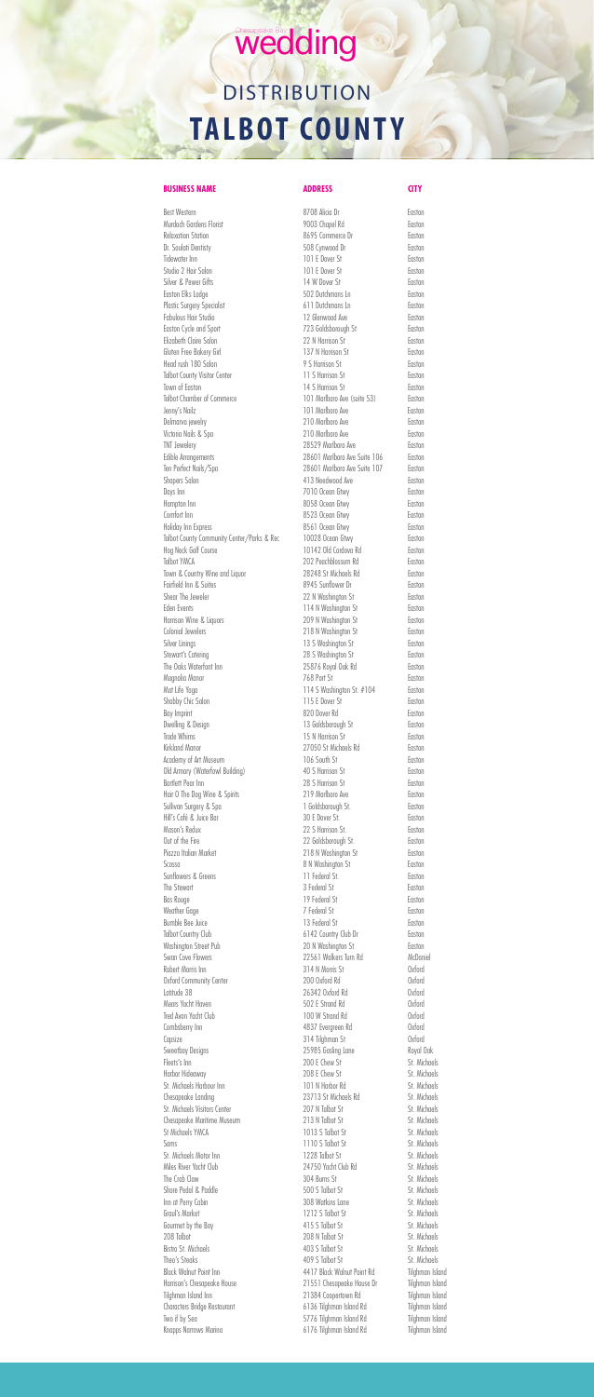## wedding **DISTRIBUTION TALBOT COUNTY**

Best Western Easton **8708 Alicia Dr** Easton Murdoch Gardens Florist **19003** Chapel Rd Easton Relaxation Station **East Commerce Dr East Commerce Dr** Easton Dr. Soulati Dentisty 508 Cynwood Dr Easton Tidewater Inn **101 E Dover St** Easton Studio 2 Hair Salon **101 E Dover St** Easton Silver & Pewer Gifts **14 W Dover St** Easton Easton Elks Lodge 602 Dutchmans Ln Easton Elks Lodge 602 Dutchmans Ln Plastic Surgery Specialist **611 Dutchmans Ln** Easton Fabulous Hair Studio **12 Glenwood Ave Easton** Easton Cycle and Sport **Figure 2018** Faston 723 Goldsborough St Elizabeth Claire Salon 22 N Harrison St Easton Gluten Free Bakery Girl **137 N Harrison St** Easton Head rush 180 Salon **Easton** 9 S Harrison St Easton Talbot County Visitor Center 11 S Harrison St Easton Town of Easton **Easton** 14 S Harrison St **Easton** Talbot Chamber of Commerce 101 Marlboro Ave (suite 53) Easton Jenny's Nailz 101 Marlboro Ave Easton Delmarva jewelry 210 Marlboro Ave Easton Victoria Nails & Spa 210 Marlboro Ave Easton TNT Jewelery 28529 Marlboro Ave Easton Edible Arrangements **28601** Marlboro Ave Suite 106 Easton Ten Perfect Nails/Spa 28601 Marlboro Ave Suite 107 Easton Shapers Salon **Easton** 413 Needwood Ave **Easton** Days Inn **Easton** 7010 Ocean Gtwy **Easton** Hampton Inn Easton Communication and BOS8 Ocean Gtwy Easton Easton Comfort Inn Easton 2012 Comfort Inn 2013 Community 2013 Ocean Gtwy Holiday Inn Express 8561 Ocean Gtwy Easton Talbot County Community Center/Parks & Rec 10028 Ocean Gtwy Faston Hog Neck Golf Course Controller Course Controller No. 20142 Old Cordova Rd Easton Talbot YMCA 202 Peachblossum Rd Easton Town & Country Wine and Liquor 28248 St Michaels Rd Easton Fairfield Inn & Suites **8945** Sunflower Dr Easton Shear The Jeweler **Easton** 22 N Washington St Easton Eden Events **Example 2018** 114 N Washington St **Easton** Harrison Wine & Liquors **Easton** 209 N Washington St Easton Colonial Jewelers **218 N** Washington St Easton Silver Linings **13 S Washington St** Easton Stewart's Catering **Easton** 28 S Washington St Easton The Oaks Waterfont Inn 25876 Royal Oak Rd Easton Magnolia Manor **768 Port St** Easton Mat Life Yoga **114 S Washington St. #104** Easton Shabby Chic Salon **Easton** 115 E Dover St **Easton** Bay Imprint Easton Dwelling & Design entity and the US Goldsborough St Easton Trade Whims **Easton** 15 N Harrison St **Easton** Kirkland Manor **Easton** 27050 St Michaels Rd Easton Academy of Art Museum and the Caston Country of Art Museum and TO6 South St Old Armory (Waterfowl Building) 40 S Harrison St Easton Bartlett Pear Inn **Easton** 28 S Harrison St **Easton** Hair O The Dog Wine & Spirits 219 Marlboro Ave Easton Sullivan Surgery & Spa 1 Goldsborough St. Easton Hill's Café & Juice Bar 30 E Dover St. Easton Mason's Redux 22 S Harrison St. Easton Out of the Fire Easton Contact Contact 22 Goldsborough St. Piazza Italian Market **218 N Washington St** Easton Scossa **8 N Washington St** Easton

**BUSINESS NAME ADDRESS CITY** 

| Sunflowers & Greens           | 11 Federal St.             | Easton          |
|-------------------------------|----------------------------|-----------------|
| The Stewart                   | 3 Federal St               | Easton          |
| <b>Bas Rouge</b>              | 19 Federal St              | Easton          |
| Weather Gage                  | 7 Federal St               | Easton          |
| Bumble Bee Juice              | 13 Federal St              | Easton          |
| Talbot Country Club           | 6142 Country Club Dr       | Easton          |
| Washington Street Pub         | 20 N Washington St         | Easton          |
| Swan Cove Flowers             | 22561 Walkers Turn Rd      | McDaniel        |
| Robert Morris Inn             | 314 N Morris St            | Oxford          |
| Oxford Community Center       | 200 Oxford Rd              | Oxford          |
| Latitude 38                   | 26342 Oxford Rd            | Oxford          |
| Mears Yacht Haven             | 502 E Strand Rd            | Oxford          |
| Tred Avon Yacht Club          | 100 W Strand Rd            | Oxford          |
| Combsberry Inn                | 4837 Evergreen Rd          | Oxford          |
| Capsize                       | 314 Tilghman St            | <b>Oxford</b>   |
| <b>Sweetbay Designs</b>       | 25985 Gosling Lane         | Royal Oak       |
| Fleets's Inn                  | 200 E Chew St              | St. Michaels    |
| Harbor Hideaway               | 208 E Chew St              | St. Michaels    |
| St. Michaels Harbour Inn      | 101 N Harbor Rd            | St. Michaels    |
| Chesapeake Landing            | 23713 St Michaels Rd       | St. Michaels    |
| St. Michaels Visitors Center  | 207 N Talbot St            | St. Michaels    |
| Chesapeake Maritime Museum    | 213 N Talbot St            | St. Michaels    |
| St Michaels YMCA              | 1013 S Talbot St           | St. Michaels    |
| Sams                          | 1110 S Talbot St           | St. Michaels    |
| St. Michaels Motor Inn        | 1228 Talbot St             | St. Michaels    |
| Miles River Yacht Club        | 24750 Yacht Club Rd        | St. Michaels    |
| The Crab Claw                 | 304 Burns St               | St. Michaels    |
| Shore Pedal & Paddle          | 500 S Talbot St            | St. Michaels    |
| Inn at Perry Cabin            | 308 Watkins Lane           | St. Michaels    |
| Graul's Market                | 1212 S Talbot St           | St. Michaels    |
| Gourmet by the Bay            | 415 S Talbot St            | St. Michaels    |
| 208 Talbot                    | 208 N Talbot St            | St. Michaels    |
| <b>Bistro St. Michaels</b>    | 403 S Talbot St            | St. Michaels    |
| Theo's Steaks                 | 409 S Talbot St            | St. Michaels    |
| <b>Black Walnut Point Inn</b> | 4417 Black Walnut Point Rd | Tilghman Island |
| Harrison's Chesapeake House   | 21551 Chesapeake House Dr  | Tilghman Island |
| Tilghman Island Inn           | 21384 Coopertown Rd        | Tilghman Island |
| Characters Bridge Restaurant  | 6136 Tilghman Island Rd    | Tilghman Island |
| Two if by Sea                 | 5776 Tilghman Island Rd    | Tilghman Island |
| Knapps Narrows Marina         | 6176 Tilghman Island Rd    | Tilghman Island |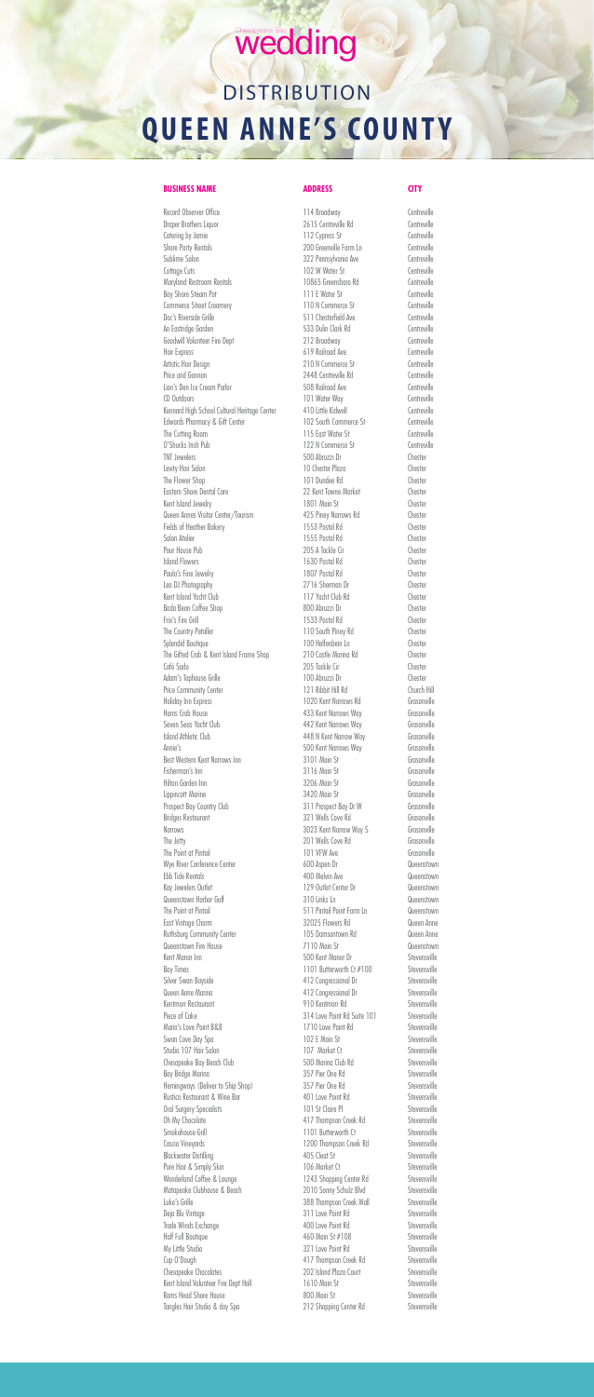Record Observer Office The Controlle 2014 Broadway Centreville Draper Brothers Liquor 2615 Centreville Rd Centreville Catering by Jamie 2012 Communication Centreville Shore Party Rentals **Example 200** Greenville Farm Ln Centreville Sublime Salon 6-10 Centreville 322 Pennsylvania Ave Centreville Cottage Cuts Centreville Maryland Restroom Rentals 10865 Greensboro Rd Centreville Bay Shore Steam Pot **111 E** Water St Centreville Commerce Street Creamery 110 N Commerce St Doc's Riverside Grille 612 Controlled 511 Chesterfield Ave Centreville An Eastridge Garden 60 Centreville Goodwill Volunteer Fire Dept 212 Broadway Centreville Hair Express Centreville Artistic Hair Design **Canadian Commerce St** Centreville Price and Gannon 2448 Centreville Rd Centreville Lion's Den Ice Cream Parlor **Canadian Control** 508 Railroad Ave **Centreville** CD Outdoors Controlle CO Outdoors Centreville Kennard High School Cultural Heritage Center 410 Little Kidwell Centreville Edwards Pharmacy & Gift Center 102 South Commerce St Centreville The Cutting Room and The Cutting Room and The Centreville O'Shucks Irish Pub 122 N Commerce St Centreville TNT Jewelers 500 Abruzzi Dr Chester Levity Hair Salon Chester Plaza The Flower Shop Chester 101 Dundee Rd Chester Eastern Shore Dental Care 22 Kent Towne Market Chester Kent Island Jewelry **1801** Main St Chester Queen Annes Visitor Center/Tourism 425 Piney Narrows Rd Chester Fields of Heather Bakery **1553 Postal Rd** Chester Salon Atelier Chester 1555 Postal Rd Chester Pour House Pub 205 A Tackle Cir Chester Island Flowers 1630 Postal Rd Chester Paula's Fine Jewelry **1807 Postal Rd** Chester Leo DJ Photography 2716 Sherman Dr Chester Kent Island Yacht Club 117 Yacht Club Rd Chester Bada Bean Coffee Shop 800 Abruzzi Dr Chester Frix's Fire Grill Chester No. 2016 1533 Postal Rd Chester The Country Petaller Chester 110 South Piney Rd Chester Splendid Boutique Chester 100 Helfenbein Ln The Gifted Crab & Kent Island Frame Shop 210 Castle Marina Rd Chester Café Sado Chester Chester 205 Tackle Cir Chester Adam's Taphouse Grille 100 Abruzzi Dr Chester Price Community Center 121 Ribbit Hill Rd Church Hill Holiday Inn Express 1020 Kent Narrows Rd Grasonville Harris Crab House 433 Kent Narrows Way Grasonville Seven Seas Yacht Club 1442 Kent Narrows Way 6rasonville Island Athletic Club 448 N Kent Narrow Way Grasonville Annie's 500 Kent Narrows Way Grasonville Best Western Kent Narrows Inn 3101 Main St Grasonville Fisherman's Inn **Fisherman's Inn** 3116 Main St Grasonville Hilton Garden Inn 3206 Main St Grasonville Lippincott Marine 3420 Main St Grasonville Prospect Bay Country Club 311 Prospect Bay Dr W Grasonville Bridges Restaurant 321 Wells Cove Rd Grasonville Narrows **3023 Kent Narrow Way S** Grasonville The Jetty **Channel Cover Cover Cover Cover Cover Cover Cover Cover Cover Cover Cover Cover Cover Cover Cover Cover Cover Cover Cover Cover Cover Cover Cover Cover Cover Cover Cover Cover Cover Cover Cover Cover Cover Cover** The Point at Pintail **101 VFW Ave Grasonville** Wye River Conference Center 600 Aspen Dr 600 Aspen Dr Queenstown Ebb Tide Rentals 400 Melvin Ave Queenstown Kay Jewelers Outlet Center Dr 129 Outlet Center Dr Queenstown Queenstown Harbor Golf 310 Links Ln Queenstown The Point at Pintail 511 Pintail Point Farm Ln Queenstown East Vintage Charm 32025 Flowers Rd Queen Anne Ruthsburg Community Center 105 Damsontown Rd Queen Anne Queenstown Fire House **7110 Main St** Queenstown Kent Manor Inn Stevensville SOO Kent Manor Dr Stevensville Bay Times Stevensville 1101 Butterworth Ct #100 Stevensville Silver Swan Bayside **412 Congressional Dr** Stevensville Queen Anne Marina **Anne Maring Community** 412 Congressional Dr Stevensville Kentmorr Restaurant 1910 Kentmorr Rd Stevensville Piece of Cake 314 Love Point Rd Suite 101 Stevensville Maria's Love Point B&B 1710 Love Point Rd Stevensville Swan Cove Day Spa 102 E Main St Stevensville Studio 107 Hair Salon 107 Market Ct Stevensville Chesapeake Bay Beach Club 600 500 Marina Club Rd Stevensville Bay Bridge Marina **357 Pier One Rd** Stevensville Hemingways (Deliver to Ship Shop) 357 Pier One Rd Stevensville Rustico Restaurant & Wine Bar 1986 100 MB 401 Love Point Rd 5tevensville Oral Surgery Specialists **101 St Claire Pl** Stevensville Oh My Chocolate 617 Thompson Creek Rd Stevensville Smokehouse Grill **Smokehouse Crill** 3 and 3 and 3 and 3 and 4 and 4 and 5 stevensville Cascia Vineyards **1200 Thompson Creek Rd** Stevensville Blackwater Distilling and A05 Cleat St Stevensville Pure Hair & Simply Skin 106 Market Ct Stevensville Wonderland Coffee & Lounge 1243 Shopping Center Rd Stevensville Matapeake Clubhouse & Beach 2010 Sonny Schulz Blvd Stevensville Luke's Grille **388 Thompson Creek Mall** Stevensville Deja Blu Vintage Stevensville 311 Love Point Rd Stevensville Trade Winds Exchange Trade Winds Exchange According to the 400 Love Point Rd Stevensville Half Full Boutique States and A60 Main St #108 Stevensville My Little Studio Stevensville 321 Love Point Rd Stevensville Cup O'Dough 617 Thompson Creek Rd Stevensville Chesapeake Chocolates **202 Island Plaza Court** Stevensville Kent Island Volunteer Fire Dept Hall 1610 Main St Stevensville Rams Head Shore House 600 Main St 600 Main St 600 Main St 51 Stevensville Tangles Hair Studio & day Spa 212 Shopping Center Rd Stevensville

### wedding

## **DISTRIBUTION QUEEN ANNE'S COUNTY**

### **BUSINESS NAME** ADDRESS **CITY**